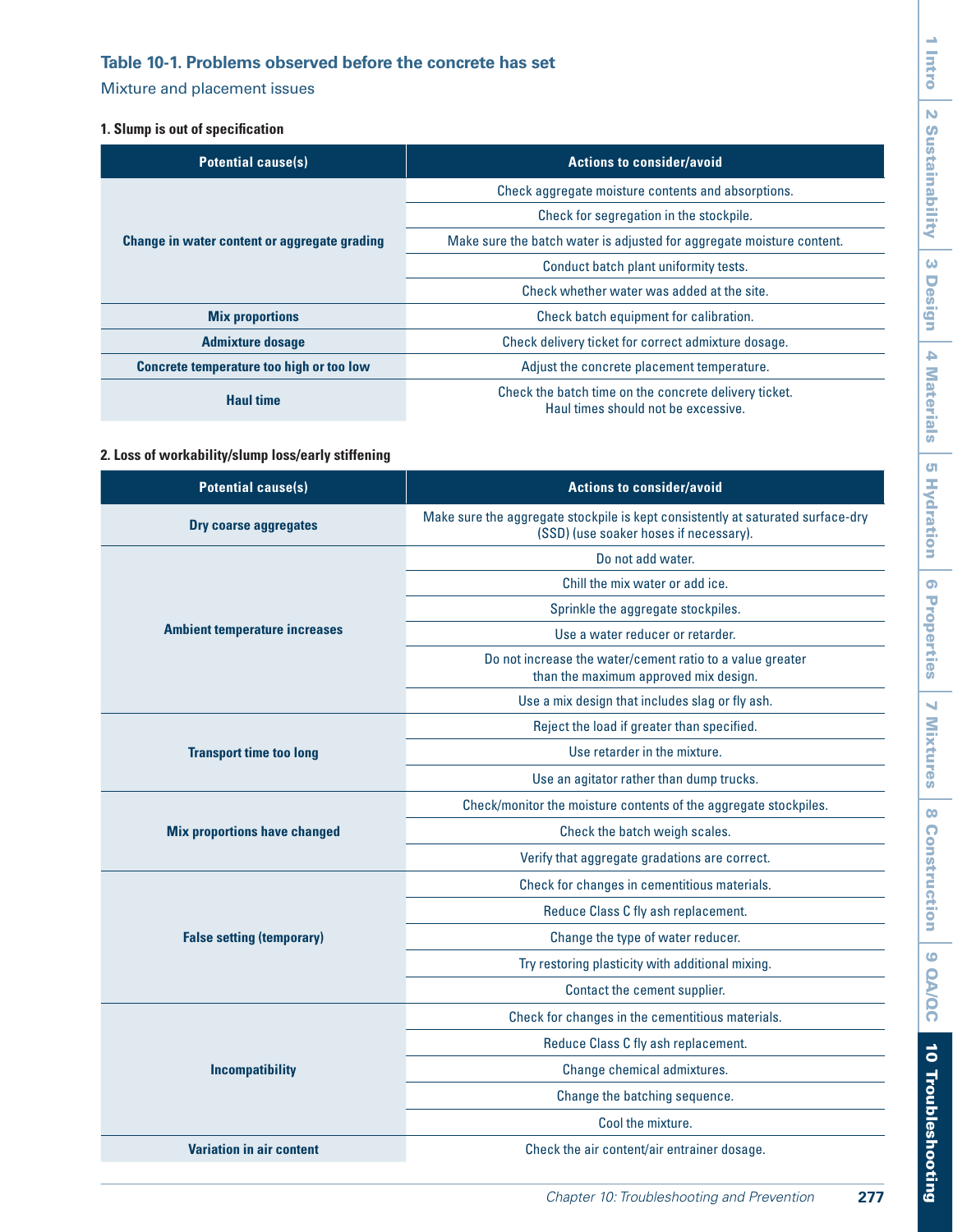# <span id="page-0-0"></span>**Table 10-1. Problems observed before the concrete has set**

Mixture and placement issues

## **1. Slump is out of specification**

| <b>Potential cause(s)</b>                    | <b>Actions to consider/avoid</b>                                                             |
|----------------------------------------------|----------------------------------------------------------------------------------------------|
| Change in water content or aggregate grading | Check aggregate moisture contents and absorptions.                                           |
|                                              | Check for segregation in the stockpile.                                                      |
|                                              | Make sure the batch water is adjusted for aggregate moisture content.                        |
|                                              | Conduct batch plant uniformity tests.                                                        |
|                                              | Check whether water was added at the site.                                                   |
| <b>Mix proportions</b>                       | Check batch equipment for calibration.                                                       |
| <b>Admixture dosage</b>                      | Check delivery ticket for correct admixture dosage.                                          |
| Concrete temperature too high or too low     | Adjust the concrete placement temperature.                                                   |
| <b>Haul time</b>                             | Check the batch time on the concrete delivery ticket.<br>Haul times should not be excessive. |

## **2. Loss of workability/slump loss/early stiffening**

| <b>Potential cause(s)</b>            | <b>Actions to consider/avoid</b>                                                                                          |
|--------------------------------------|---------------------------------------------------------------------------------------------------------------------------|
| <b>Dry coarse aggregates</b>         | Make sure the aggregate stockpile is kept consistently at saturated surface-dry<br>(SSD) (use soaker hoses if necessary). |
|                                      | Do not add water.                                                                                                         |
|                                      | Chill the mix water or add ice.                                                                                           |
|                                      | Sprinkle the aggregate stockpiles.                                                                                        |
| <b>Ambient temperature increases</b> | Use a water reducer or retarder.                                                                                          |
|                                      | Do not increase the water/cement ratio to a value greater<br>than the maximum approved mix design.                        |
|                                      | Use a mix design that includes slag or fly ash.                                                                           |
|                                      | Reject the load if greater than specified.                                                                                |
| <b>Transport time too long</b>       | Use retarder in the mixture.                                                                                              |
|                                      | Use an agitator rather than dump trucks.                                                                                  |
|                                      | Check/monitor the moisture contents of the aggregate stockpiles.                                                          |
| <b>Mix proportions have changed</b>  | Check the batch weigh scales.                                                                                             |
|                                      | Verify that aggregate gradations are correct.                                                                             |
|                                      | Check for changes in cementitious materials.                                                                              |
|                                      | Reduce Class C fly ash replacement.                                                                                       |
| <b>False setting (temporary)</b>     | Change the type of water reducer.                                                                                         |
|                                      | Try restoring plasticity with additional mixing.                                                                          |
|                                      | Contact the cement supplier.                                                                                              |
|                                      | Check for changes in the cementitious materials.                                                                          |
|                                      | Reduce Class C fly ash replacement.                                                                                       |
| <b>Incompatibility</b>               | Change chemical admixtures.                                                                                               |
|                                      | Change the batching sequence.                                                                                             |
|                                      | Cool the mixture.                                                                                                         |
| <b>Variation in air content</b>      | Check the air content/air entrainer dosage.                                                                               |

 $\overline{\phantom{a}}$  $\overline{\phantom{0}}$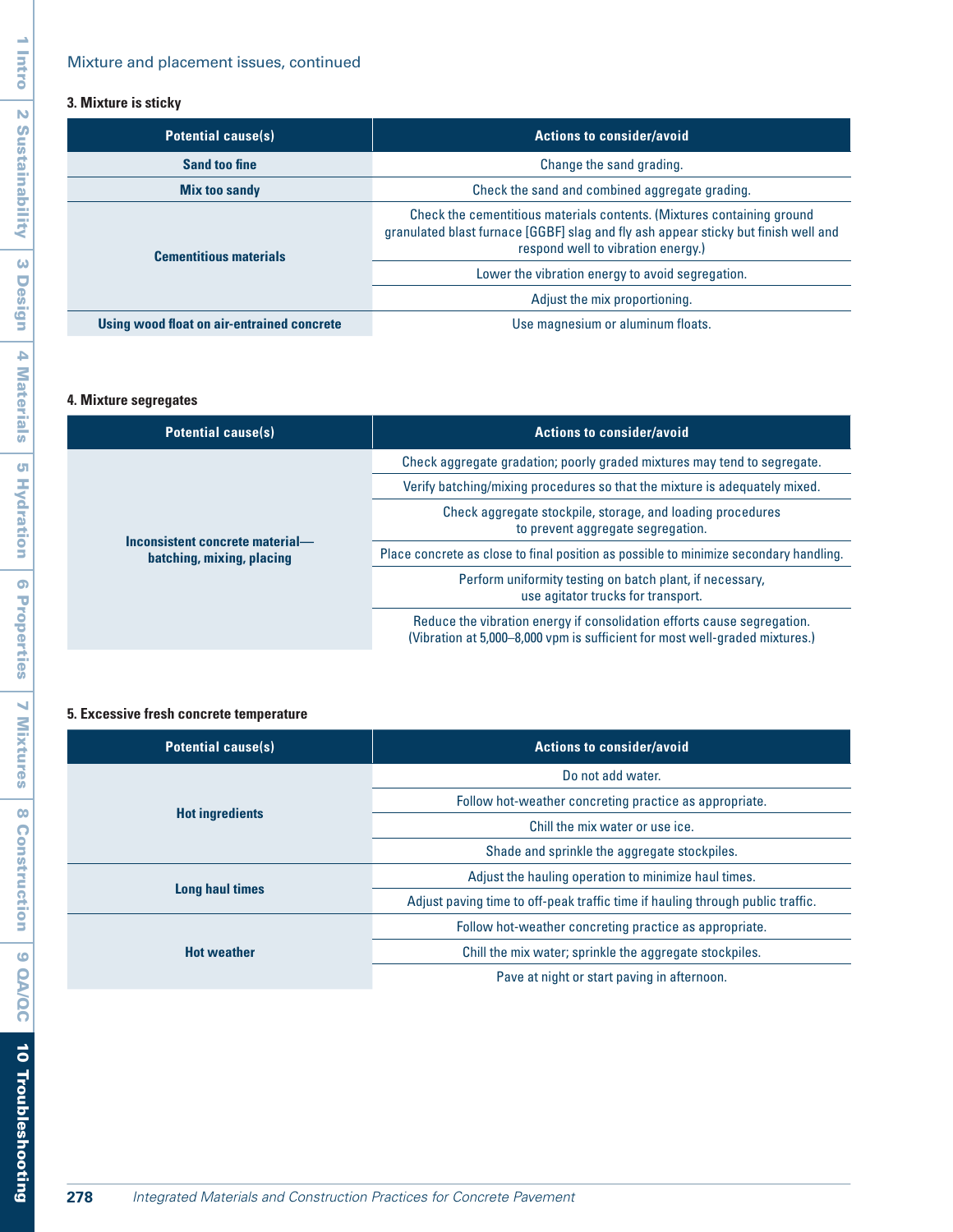## Mixture and placement issues, continued

## **3. Mixture is sticky**

| <b>Potential cause(s)</b>                  | <b>Actions to consider/avoid</b>                                                                                                                                                                   |
|--------------------------------------------|----------------------------------------------------------------------------------------------------------------------------------------------------------------------------------------------------|
| Sand too fine                              | Change the sand grading.                                                                                                                                                                           |
| <b>Mix too sandy</b>                       | Check the sand and combined aggregate grading.                                                                                                                                                     |
| <b>Cementitious materials</b>              | Check the cementitious materials contents. (Mixtures containing ground<br>granulated blast furnace [GGBF] slag and fly ash appear sticky but finish well and<br>respond well to vibration energy.) |
|                                            | Lower the vibration energy to avoid segregation.                                                                                                                                                   |
|                                            | Adjust the mix proportioning.                                                                                                                                                                      |
| Using wood float on air-entrained concrete | Use magnesium or aluminum floats.                                                                                                                                                                  |

## **4. Mixture segregates**

| <b>Potential cause(s)</b>                                    | <b>Actions to consider/avoid</b>                                                                                                                       |
|--------------------------------------------------------------|--------------------------------------------------------------------------------------------------------------------------------------------------------|
| Inconsistent concrete material-<br>batching, mixing, placing | Check aggregate gradation; poorly graded mixtures may tend to segregate.                                                                               |
|                                                              | Verify batching/mixing procedures so that the mixture is adequately mixed.                                                                             |
|                                                              | Check aggregate stockpile, storage, and loading procedures<br>to prevent aggregate segregation.                                                        |
|                                                              | Place concrete as close to final position as possible to minimize secondary handling.                                                                  |
|                                                              | Perform uniformity testing on batch plant, if necessary,<br>use agitator trucks for transport.                                                         |
|                                                              | Reduce the vibration energy if consolidation efforts cause segregation.<br>(Vibration at 5,000–8,000 vpm is sufficient for most well-graded mixtures.) |

## **5. Excessive fresh concrete temperature**

| <b>Potential cause(s)</b> | <b>Actions to consider/avoid</b>                                               |
|---------------------------|--------------------------------------------------------------------------------|
| <b>Hot ingredients</b>    | Do not add water.                                                              |
|                           | Follow hot-weather concreting practice as appropriate.                         |
|                           | Chill the mix water or use ice.                                                |
|                           | Shade and sprinkle the aggregate stockpiles.                                   |
| <b>Long haul times</b>    | Adjust the hauling operation to minimize haul times.                           |
|                           | Adjust paving time to off-peak traffic time if hauling through public traffic. |
| <b>Hot weather</b>        | Follow hot-weather concreting practice as appropriate.                         |
|                           | Chill the mix water; sprinkle the aggregate stockpiles.                        |
|                           | Pave at night or start paving in afternoon.                                    |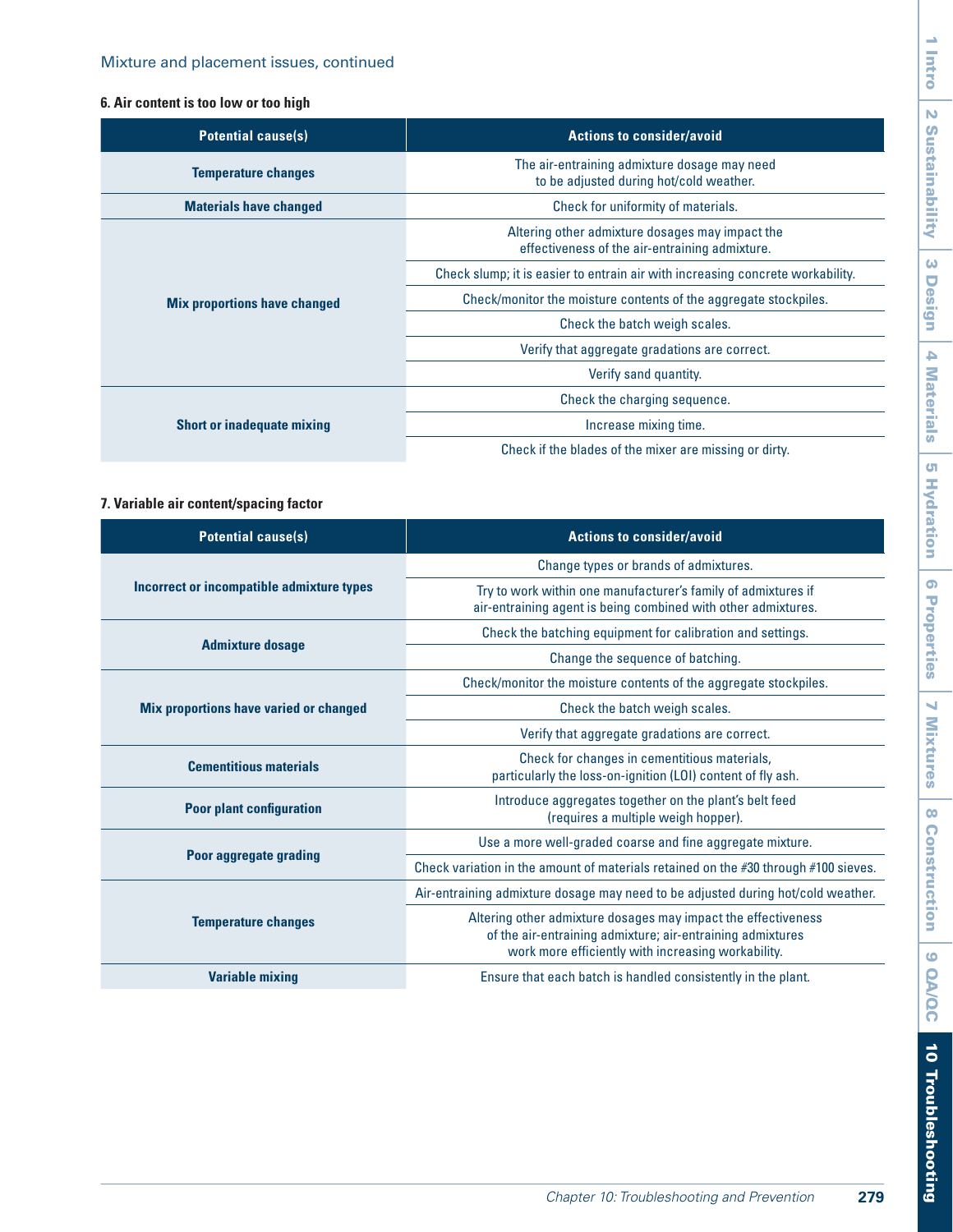## **6. Air content is too low or too high**

| <b>Potential cause(s)</b>           | <b>Actions to consider/avoid</b>                                                                  |
|-------------------------------------|---------------------------------------------------------------------------------------------------|
| <b>Temperature changes</b>          | The air-entraining admixture dosage may need<br>to be adjusted during hot/cold weather.           |
| <b>Materials have changed</b>       | Check for uniformity of materials.                                                                |
| <b>Mix proportions have changed</b> | Altering other admixture dosages may impact the<br>effectiveness of the air-entraining admixture. |
|                                     | Check slump; it is easier to entrain air with increasing concrete workability.                    |
|                                     | Check/monitor the moisture contents of the aggregate stockpiles.                                  |
|                                     | Check the batch weigh scales.                                                                     |
|                                     | Verify that aggregate gradations are correct.                                                     |
|                                     | Verify sand quantity.                                                                             |
| <b>Short or inadequate mixing</b>   | Check the charging sequence.                                                                      |
|                                     | Increase mixing time.                                                                             |
|                                     | Check if the blades of the mixer are missing or dirty.                                            |

## **7. Variable air content/spacing factor**

| <b>Potential cause(s)</b>                     | <b>Actions to consider/avoid</b>                                                                                                                                                  |
|-----------------------------------------------|-----------------------------------------------------------------------------------------------------------------------------------------------------------------------------------|
|                                               |                                                                                                                                                                                   |
|                                               | Change types or brands of admixtures.                                                                                                                                             |
| Incorrect or incompatible admixture types     | Try to work within one manufacturer's family of admixtures if<br>air-entraining agent is being combined with other admixtures.                                                    |
|                                               | Check the batching equipment for calibration and settings.                                                                                                                        |
| <b>Admixture dosage</b>                       | Change the sequence of batching.                                                                                                                                                  |
|                                               | Check/monitor the moisture contents of the aggregate stockpiles.                                                                                                                  |
| <b>Mix proportions have varied or changed</b> | Check the batch weigh scales.                                                                                                                                                     |
|                                               | Verify that aggregate gradations are correct.                                                                                                                                     |
| <b>Cementitious materials</b>                 | Check for changes in cementitious materials,<br>particularly the loss-on-ignition (LOI) content of fly ash.                                                                       |
| <b>Poor plant configuration</b>               | Introduce aggregates together on the plant's belt feed<br>(requires a multiple weigh hopper).                                                                                     |
|                                               | Use a more well-graded coarse and fine aggregate mixture.                                                                                                                         |
| Poor aggregate grading                        | Check variation in the amount of materials retained on the #30 through #100 sieves.                                                                                               |
| <b>Temperature changes</b>                    | Air-entraining admixture dosage may need to be adjusted during hot/cold weather.                                                                                                  |
|                                               | Altering other admixture dosages may impact the effectiveness<br>of the air-entraining admixture; air-entraining admixtures<br>work more efficiently with increasing workability. |
| <b>Variable mixing</b>                        | Ensure that each batch is handled consistently in the plant.                                                                                                                      |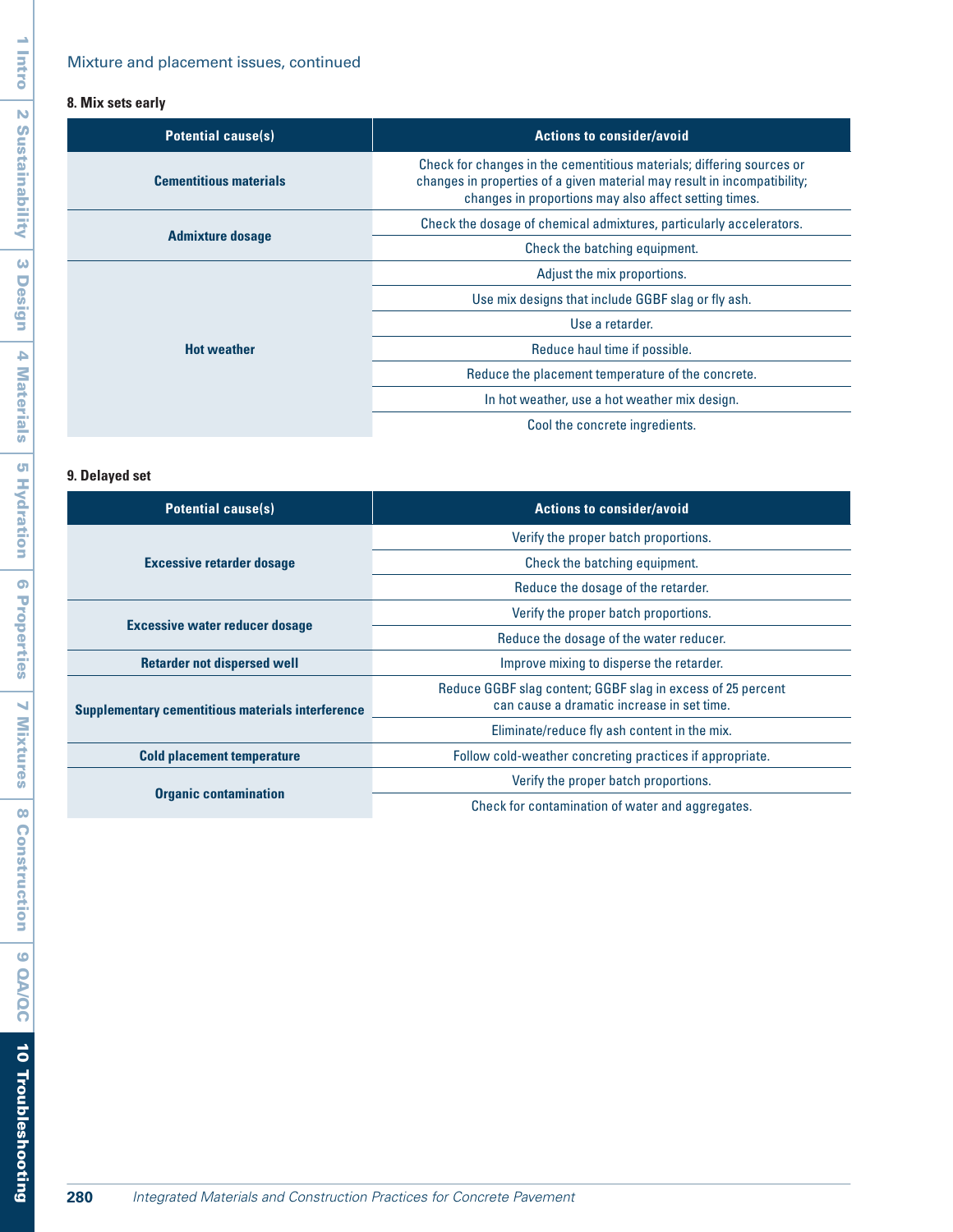# **8. Mix sets early**

| <b>Potential cause(s)</b>     | <b>Actions to consider/avoid</b>                                                                                                                                                                           |
|-------------------------------|------------------------------------------------------------------------------------------------------------------------------------------------------------------------------------------------------------|
| <b>Cementitious materials</b> | Check for changes in the cementitious materials; differing sources or<br>changes in properties of a given material may result in incompatibility;<br>changes in proportions may also affect setting times. |
| <b>Admixture dosage</b>       | Check the dosage of chemical admixtures, particularly accelerators.                                                                                                                                        |
|                               | Check the batching equipment.                                                                                                                                                                              |
| <b>Hot weather</b>            | Adjust the mix proportions.                                                                                                                                                                                |
|                               | Use mix designs that include GGBF slag or fly ash.                                                                                                                                                         |
|                               | Use a retarder.                                                                                                                                                                                            |
|                               | Reduce haul time if possible.                                                                                                                                                                              |
|                               | Reduce the placement temperature of the concrete.                                                                                                                                                          |
|                               | In hot weather, use a hot weather mix design.                                                                                                                                                              |
|                               | Cool the concrete ingredients.                                                                                                                                                                             |

# **9. Delayed set**

| <b>Potential cause(s)</b>                                | <b>Actions to consider/avoid</b>                                                                          |
|----------------------------------------------------------|-----------------------------------------------------------------------------------------------------------|
| <b>Excessive retarder dosage</b>                         | Verify the proper batch proportions.                                                                      |
|                                                          | Check the batching equipment.                                                                             |
|                                                          | Reduce the dosage of the retarder.                                                                        |
| <b>Excessive water reducer dosage</b>                    | Verify the proper batch proportions.                                                                      |
|                                                          | Reduce the dosage of the water reducer.                                                                   |
| <b>Retarder not dispersed well</b>                       | Improve mixing to disperse the retarder.                                                                  |
| <b>Supplementary cementitious materials interference</b> | Reduce GGBF slag content; GGBF slag in excess of 25 percent<br>can cause a dramatic increase in set time. |
|                                                          | Eliminate/reduce fly ash content in the mix.                                                              |
| <b>Cold placement temperature</b>                        | Follow cold-weather concreting practices if appropriate.                                                  |
| <b>Organic contamination</b>                             | Verify the proper batch proportions.                                                                      |
|                                                          | Check for contamination of water and aggregates.                                                          |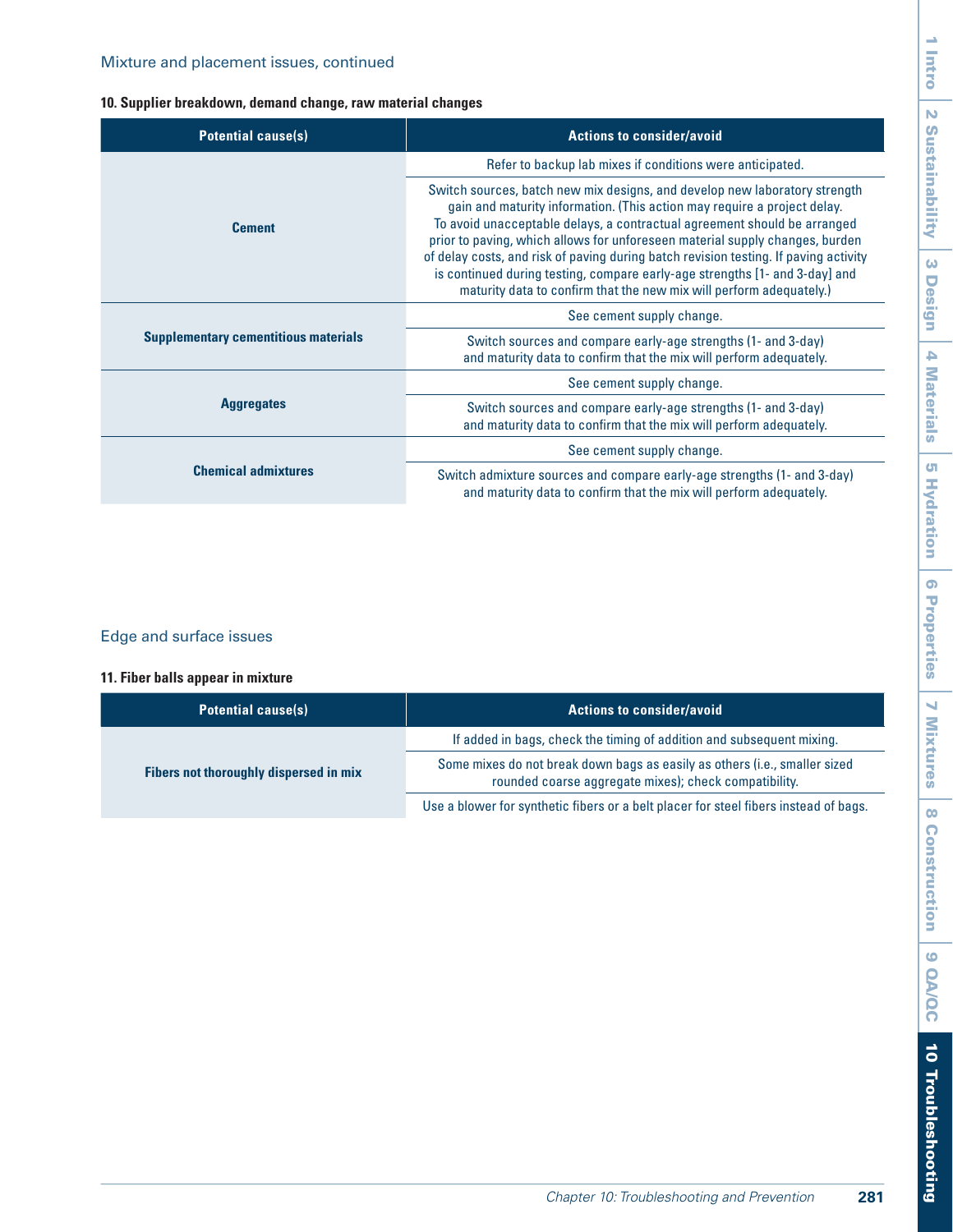## **10. Supplier breakdown, demand change, raw material changes**

| <b>Potential cause(s)</b>                   | <b>Actions to consider/avoid</b>                                                                                                                                                                                                                                                                                                                                                                                                                                                                                                                                 |
|---------------------------------------------|------------------------------------------------------------------------------------------------------------------------------------------------------------------------------------------------------------------------------------------------------------------------------------------------------------------------------------------------------------------------------------------------------------------------------------------------------------------------------------------------------------------------------------------------------------------|
|                                             | Refer to backup lab mixes if conditions were anticipated.                                                                                                                                                                                                                                                                                                                                                                                                                                                                                                        |
| <b>Cement</b>                               | Switch sources, batch new mix designs, and develop new laboratory strength<br>gain and maturity information. (This action may require a project delay.<br>To avoid unacceptable delays, a contractual agreement should be arranged<br>prior to paving, which allows for unforeseen material supply changes, burden<br>of delay costs, and risk of paving during batch revision testing. If paving activity<br>is continued during testing, compare early-age strengths [1- and 3-day] and<br>maturity data to confirm that the new mix will perform adequately.) |
| <b>Supplementary cementitious materials</b> | See cement supply change.                                                                                                                                                                                                                                                                                                                                                                                                                                                                                                                                        |
|                                             | Switch sources and compare early-age strengths (1- and 3-day)<br>and maturity data to confirm that the mix will perform adequately.                                                                                                                                                                                                                                                                                                                                                                                                                              |
| <b>Aggregates</b>                           | See cement supply change.                                                                                                                                                                                                                                                                                                                                                                                                                                                                                                                                        |
|                                             | Switch sources and compare early-age strengths (1- and 3-day)<br>and maturity data to confirm that the mix will perform adequately.                                                                                                                                                                                                                                                                                                                                                                                                                              |
| <b>Chemical admixtures</b>                  | See cement supply change.                                                                                                                                                                                                                                                                                                                                                                                                                                                                                                                                        |
|                                             | Switch admixture sources and compare early-age strengths (1- and 3-day)<br>and maturity data to confirm that the mix will perform adequately.                                                                                                                                                                                                                                                                                                                                                                                                                    |

# Edge and surface issues

## **11. Fiber balls appear in mixture**

| <b>Potential cause(s)</b>              | <b>Actions to consider/avoid</b>                                                                                                    |
|----------------------------------------|-------------------------------------------------------------------------------------------------------------------------------------|
| Fibers not thoroughly dispersed in mix | If added in bags, check the timing of addition and subsequent mixing.                                                               |
|                                        | Some mixes do not break down bags as easily as others (i.e., smaller sized<br>rounded coarse aggregate mixes); check compatibility. |
|                                        | Use a blower for synthetic fibers or a belt placer for steel fibers instead of bags.                                                |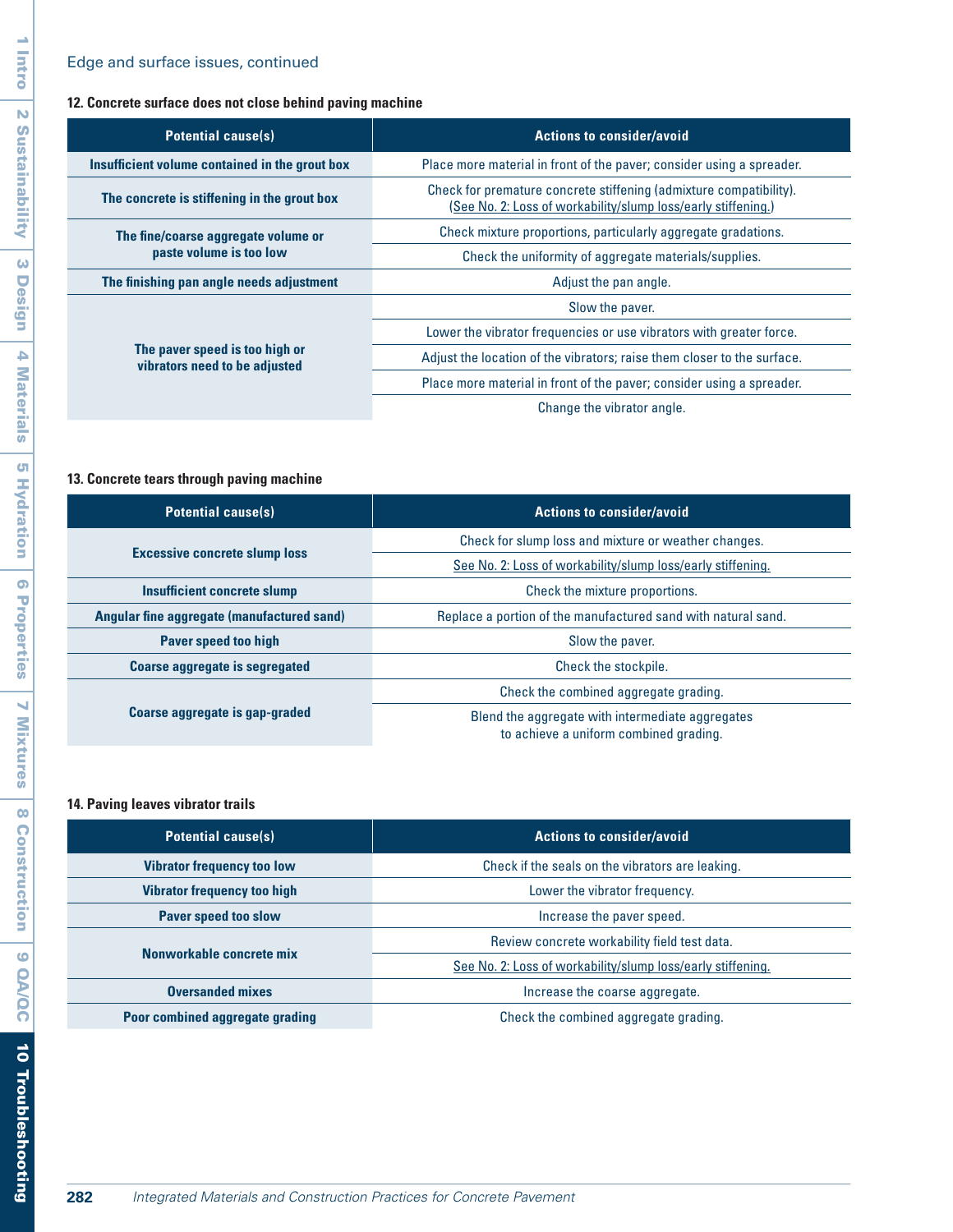# Edge and surface issues, continued

## **12. Concrete surface does not close behind paving machine**

| <b>Potential cause(s)</b>                                       | <b>Actions to consider/avoid</b>                                                                                                    |
|-----------------------------------------------------------------|-------------------------------------------------------------------------------------------------------------------------------------|
| Insufficient volume contained in the grout box                  | Place more material in front of the paver; consider using a spreader.                                                               |
| The concrete is stiffening in the grout box                     | Check for premature concrete stiffening (admixture compatibility).<br>(See No. 2: Loss of workability/slump loss/early stiffening.) |
| The fine/coarse aggregate volume or<br>paste volume is too low  | Check mixture proportions, particularly aggregate gradations.                                                                       |
|                                                                 | Check the uniformity of aggregate materials/supplies.                                                                               |
| The finishing pan angle needs adjustment                        | Adjust the pan angle.                                                                                                               |
| The paver speed is too high or<br>vibrators need to be adjusted | Slow the paver.                                                                                                                     |
|                                                                 | Lower the vibrator frequencies or use vibrators with greater force.                                                                 |
|                                                                 | Adjust the location of the vibrators; raise them closer to the surface.                                                             |
|                                                                 | Place more material in front of the paver; consider using a spreader.                                                               |
|                                                                 | Change the vibrator angle.                                                                                                          |

## **13. Concrete tears through paving machine**

| <b>Potential cause(s)</b>                  | <b>Actions to consider/avoid</b>                                                           |
|--------------------------------------------|--------------------------------------------------------------------------------------------|
| <b>Excessive concrete slump loss</b>       | Check for slump loss and mixture or weather changes.                                       |
|                                            | See No. 2: Loss of workability/slump loss/early stiffening.                                |
| Insufficient concrete slump                | Check the mixture proportions.                                                             |
| Angular fine aggregate (manufactured sand) | Replace a portion of the manufactured sand with natural sand.                              |
| <b>Paver speed too high</b>                | Slow the paver.                                                                            |
| <b>Coarse aggregate is segregated</b>      | Check the stockpile.                                                                       |
| Coarse aggregate is gap-graded             | Check the combined aggregate grading.                                                      |
|                                            | Blend the aggregate with intermediate aggregates<br>to achieve a uniform combined grading. |

## **14. Paving leaves vibrator trails**

| <b>Potential cause(s)</b>          | <b>Actions to consider/avoid</b>                            |
|------------------------------------|-------------------------------------------------------------|
| <b>Vibrator frequency too low</b>  | Check if the seals on the vibrators are leaking.            |
| <b>Vibrator frequency too high</b> | Lower the vibrator frequency.                               |
| <b>Paver speed too slow</b>        | Increase the paver speed.                                   |
| Nonworkable concrete mix           | Review concrete workability field test data.                |
|                                    | See No. 2: Loss of workability/slump loss/early stiffening. |
| <b>Oversanded mixes</b>            | Increase the coarse aggregate.                              |
| Poor combined aggregate grading    | Check the combined aggregate grading.                       |

 $\overline{\phantom{a}}$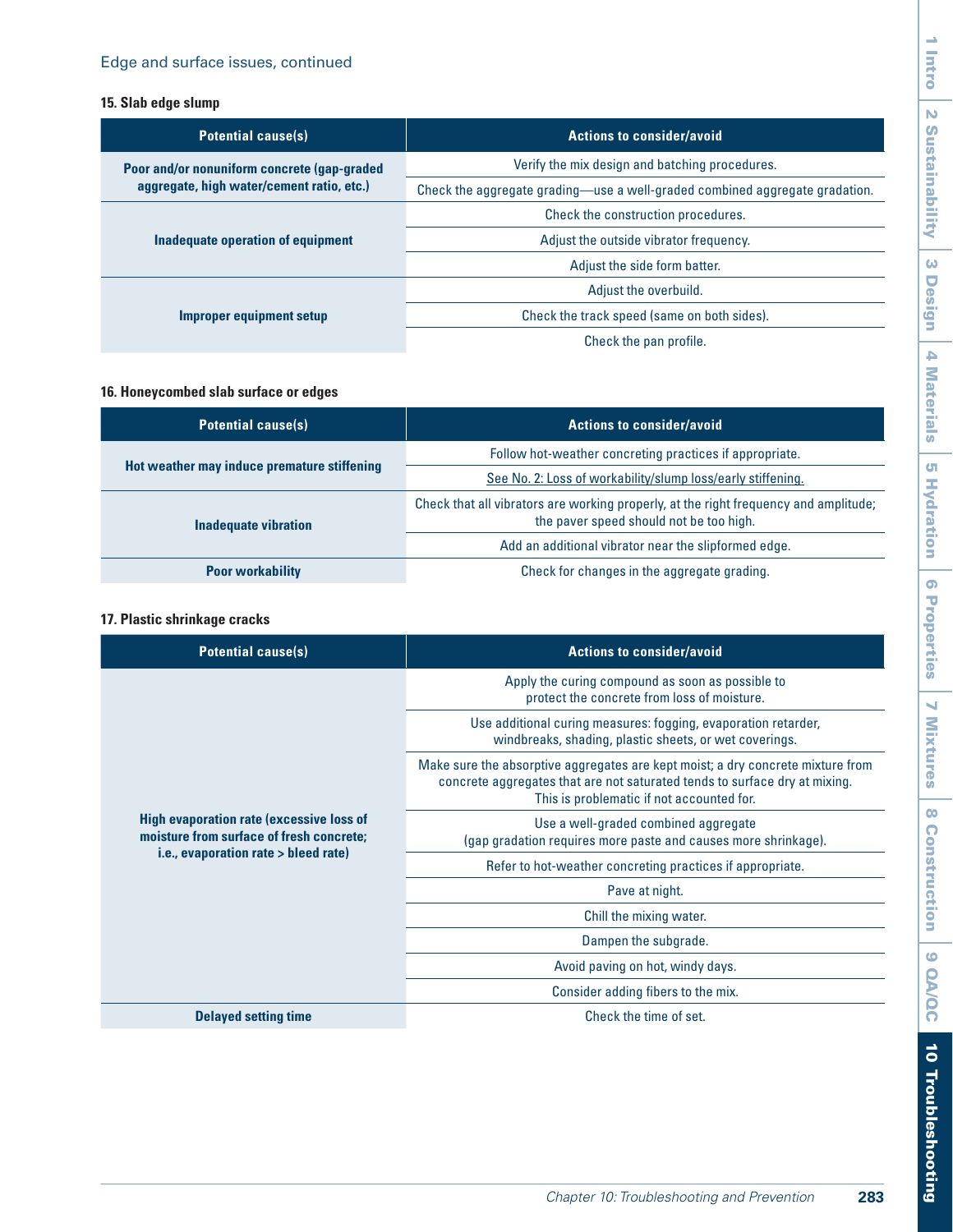## **15. Slab edge slump**

| <b>Potential cause(s)</b>                                                                | <b>Actions to consider/avoid</b>                                            |
|------------------------------------------------------------------------------------------|-----------------------------------------------------------------------------|
| Poor and/or nonuniform concrete (gap-graded<br>aggregate, high water/cement ratio, etc.) | Verify the mix design and batching procedures.                              |
|                                                                                          | Check the aggregate grading-use a well-graded combined aggregate gradation. |
| Inadequate operation of equipment                                                        | Check the construction procedures.                                          |
|                                                                                          | Adjust the outside vibrator frequency.                                      |
|                                                                                          | Adjust the side form batter.                                                |
| Improper equipment setup                                                                 | Adjust the overbuild.                                                       |
|                                                                                          | Check the track speed (same on both sides).                                 |
|                                                                                          | Check the pan profile.                                                      |

## **16. Honeycombed slab surface or edges**

| <b>Potential cause(s)</b>                   | <b>Actions to consider/avoid</b>                                                                                                |
|---------------------------------------------|---------------------------------------------------------------------------------------------------------------------------------|
| Hot weather may induce premature stiffening | Follow hot-weather concreting practices if appropriate.                                                                         |
|                                             | See No. 2: Loss of workability/slump loss/early stiffening.                                                                     |
| <b>Inadequate vibration</b>                 | Check that all vibrators are working properly, at the right frequency and amplitude;<br>the paver speed should not be too high. |
|                                             | Add an additional vibrator near the slipformed edge.                                                                            |
| <b>Poor workability</b>                     | Check for changes in the aggregate grading.                                                                                     |

## **17. Plastic shrinkage cracks**

| <b>Potential cause(s)</b>                                                                                                           | <b>Actions to consider/avoid</b>                                                                                                                                                                           |
|-------------------------------------------------------------------------------------------------------------------------------------|------------------------------------------------------------------------------------------------------------------------------------------------------------------------------------------------------------|
| <b>High evaporation rate (excessive loss of</b><br>moisture from surface of fresh concrete:<br>i.e., evaporation rate > bleed rate) | Apply the curing compound as soon as possible to<br>protect the concrete from loss of moisture.                                                                                                            |
|                                                                                                                                     | Use additional curing measures: fogging, evaporation retarder,<br>windbreaks, shading, plastic sheets, or wet coverings.                                                                                   |
|                                                                                                                                     | Make sure the absorptive aggregates are kept moist; a dry concrete mixture from<br>concrete aggregates that are not saturated tends to surface dry at mixing.<br>This is problematic if not accounted for. |
|                                                                                                                                     | Use a well-graded combined aggregate<br>(gap gradation requires more paste and causes more shrinkage).                                                                                                     |
|                                                                                                                                     | Refer to hot-weather concreting practices if appropriate.                                                                                                                                                  |
|                                                                                                                                     | Pave at night.                                                                                                                                                                                             |
|                                                                                                                                     | Chill the mixing water.                                                                                                                                                                                    |
|                                                                                                                                     | Dampen the subgrade.                                                                                                                                                                                       |
|                                                                                                                                     | Avoid paving on hot, windy days.                                                                                                                                                                           |
|                                                                                                                                     | Consider adding fibers to the mix.                                                                                                                                                                         |
| <b>Delayed setting time</b>                                                                                                         | Check the time of set.                                                                                                                                                                                     |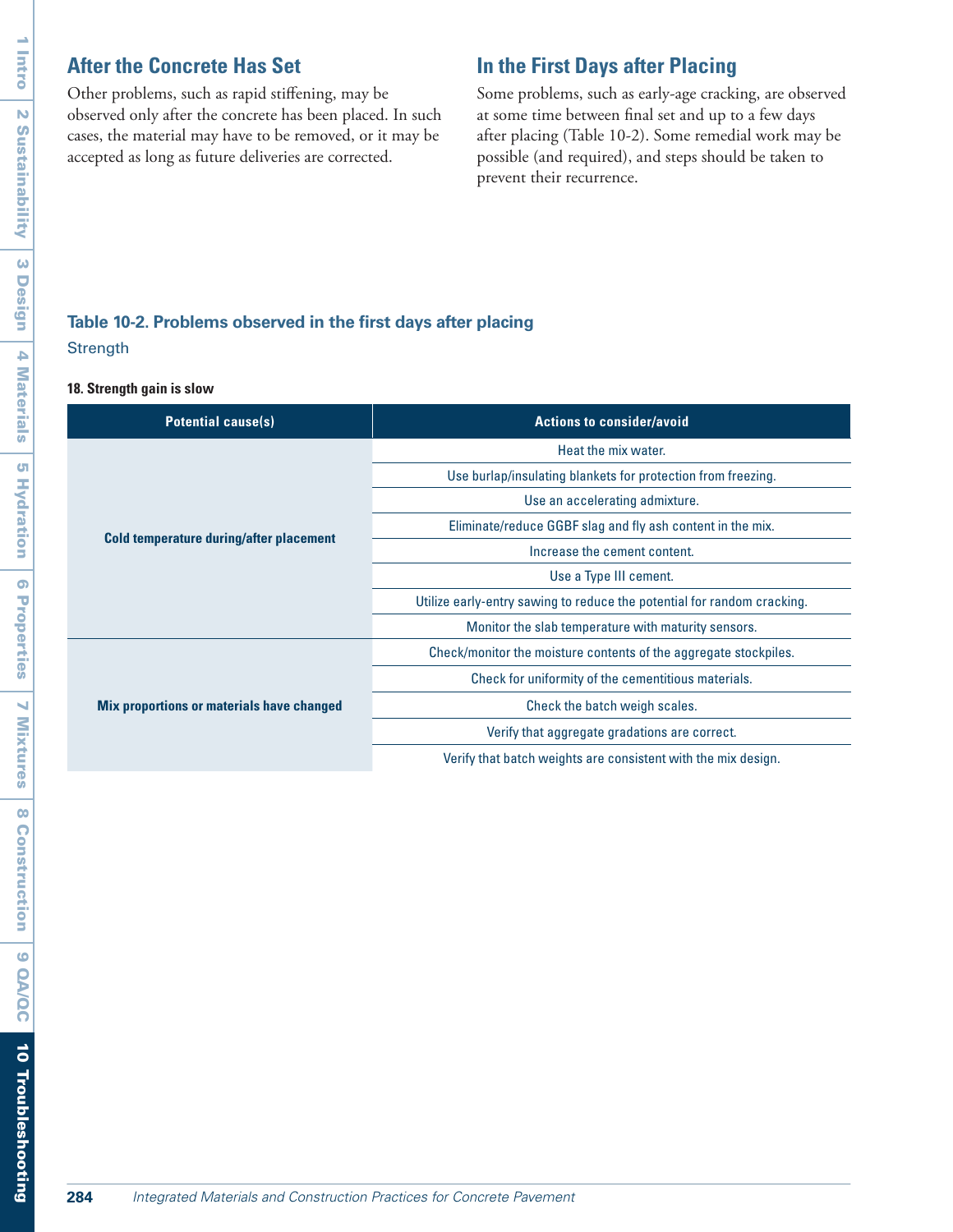# **After the Concrete Has Set**

Other problems, such as rapid stiffening, may be observed only after the concrete has been placed. In such cases, the material may have to be removed, or it may be accepted as long as future deliveries are corrected.

# **In the First Days after Placing**

Some problems, such as early-age cracking, are observed at some time between final set and up to a few days after placing (Table 10-2). Some remedial work may be possible (and required), and steps should be taken to prevent their recurrence.

# **Table 10-2. Problems observed in the first days after placing Strength**

#### **18. Strength gain is slow**

| <b>Potential cause(s)</b>                        | <b>Actions to consider/avoid</b>                                        |
|--------------------------------------------------|-------------------------------------------------------------------------|
| Cold temperature during/after placement          | Heat the mix water.                                                     |
|                                                  | Use burlap/insulating blankets for protection from freezing.            |
|                                                  | Use an accelerating admixture.                                          |
|                                                  | Eliminate/reduce GGBF slag and fly ash content in the mix.              |
|                                                  | Increase the cement content.                                            |
|                                                  | Use a Type III cement.                                                  |
|                                                  | Utilize early-entry sawing to reduce the potential for random cracking. |
|                                                  | Monitor the slab temperature with maturity sensors.                     |
| <b>Mix proportions or materials have changed</b> | Check/monitor the moisture contents of the aggregate stockpiles.        |
|                                                  | Check for uniformity of the cementitious materials.                     |
|                                                  | Check the batch weigh scales.                                           |
|                                                  | Verify that aggregate gradations are correct.                           |
|                                                  | Verify that batch weights are consistent with the mix design.           |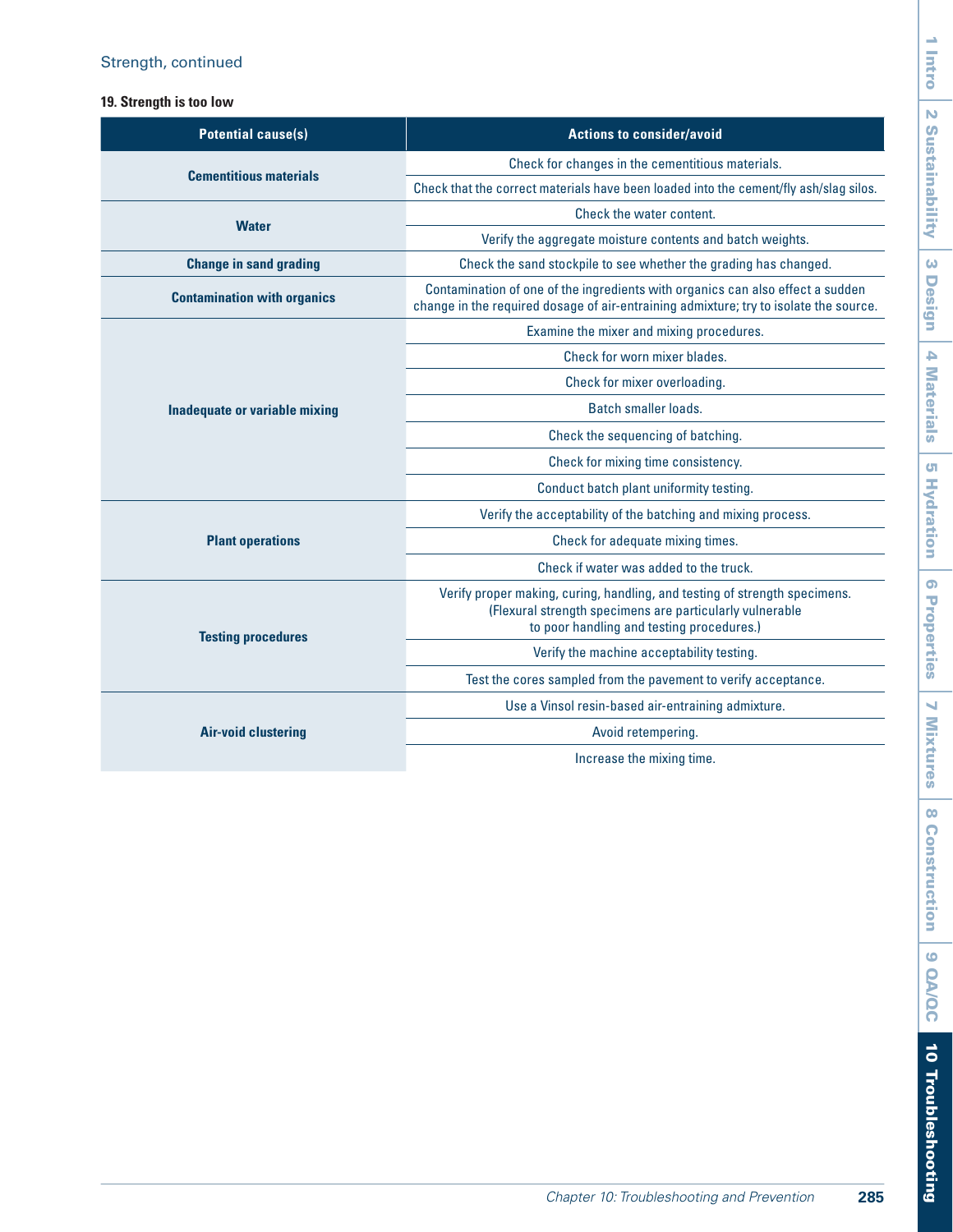## **19. Strength is too low**

| <b>Potential cause(s)</b>            | <b>Actions to consider/avoid</b>                                                                                                                                                    |
|--------------------------------------|-------------------------------------------------------------------------------------------------------------------------------------------------------------------------------------|
| <b>Cementitious materials</b>        | Check for changes in the cementitious materials.                                                                                                                                    |
|                                      | Check that the correct materials have been loaded into the cement/fly ash/slag silos.                                                                                               |
|                                      | Check the water content.                                                                                                                                                            |
| <b>Water</b>                         | Verify the aggregate moisture contents and batch weights.                                                                                                                           |
| <b>Change in sand grading</b>        | Check the sand stockpile to see whether the grading has changed.                                                                                                                    |
| <b>Contamination with organics</b>   | Contamination of one of the ingredients with organics can also effect a sudden<br>change in the required dosage of air-entraining admixture; try to isolate the source.             |
|                                      | Examine the mixer and mixing procedures.                                                                                                                                            |
|                                      | Check for worn mixer blades.                                                                                                                                                        |
|                                      | Check for mixer overloading.                                                                                                                                                        |
| <b>Inadequate or variable mixing</b> | Batch smaller loads.                                                                                                                                                                |
|                                      | Check the sequencing of batching.                                                                                                                                                   |
|                                      | Check for mixing time consistency.                                                                                                                                                  |
|                                      | Conduct batch plant uniformity testing.                                                                                                                                             |
|                                      | Verify the acceptability of the batching and mixing process.                                                                                                                        |
| <b>Plant operations</b>              | Check for adequate mixing times.                                                                                                                                                    |
|                                      | Check if water was added to the truck.                                                                                                                                              |
| <b>Testing procedures</b>            | Verify proper making, curing, handling, and testing of strength specimens.<br>(Flexural strength specimens are particularly vulnerable<br>to poor handling and testing procedures.) |
|                                      | Verify the machine acceptability testing.                                                                                                                                           |
|                                      | Test the cores sampled from the pavement to verify acceptance.                                                                                                                      |
| Air-void clustering                  | Use a Vinsol resin-based air-entraining admixture.                                                                                                                                  |
|                                      | Avoid retempering.                                                                                                                                                                  |
|                                      | Increase the mixing time.                                                                                                                                                           |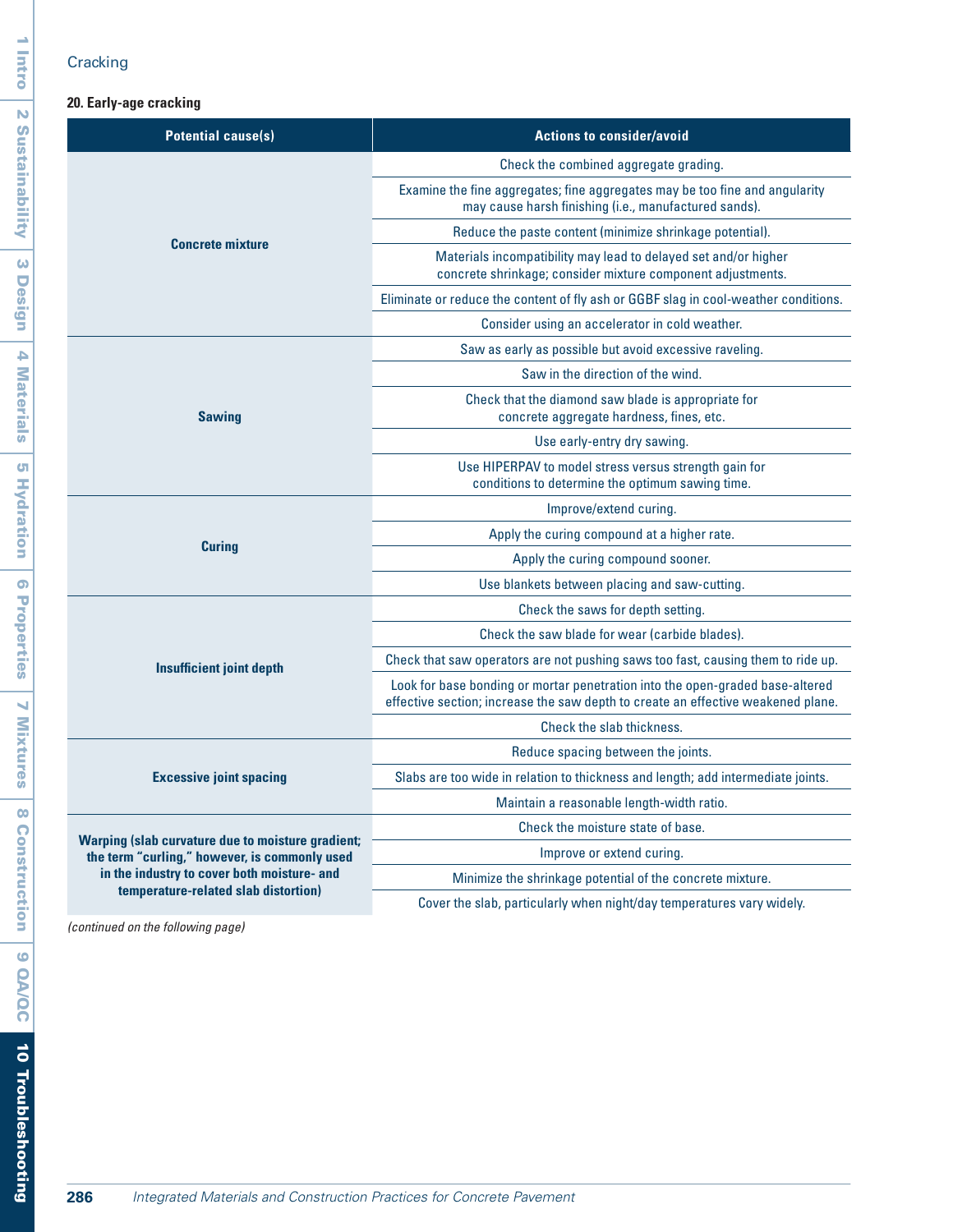# **Cracking**

## **20. Early-age cracking**

| <b>Potential cause(s)</b>                                                                                                                                                                                                          | <b>Actions to consider/avoid</b>                                                                                                                                  |
|------------------------------------------------------------------------------------------------------------------------------------------------------------------------------------------------------------------------------------|-------------------------------------------------------------------------------------------------------------------------------------------------------------------|
| <b>Concrete mixture</b>                                                                                                                                                                                                            | Check the combined aggregate grading.                                                                                                                             |
|                                                                                                                                                                                                                                    | Examine the fine aggregates; fine aggregates may be too fine and angularity<br>may cause harsh finishing (i.e., manufactured sands).                              |
|                                                                                                                                                                                                                                    | Reduce the paste content (minimize shrinkage potential).                                                                                                          |
|                                                                                                                                                                                                                                    | Materials incompatibility may lead to delayed set and/or higher<br>concrete shrinkage; consider mixture component adjustments.                                    |
|                                                                                                                                                                                                                                    | Eliminate or reduce the content of fly ash or GGBF slag in cool-weather conditions.                                                                               |
|                                                                                                                                                                                                                                    | Consider using an accelerator in cold weather.                                                                                                                    |
|                                                                                                                                                                                                                                    | Saw as early as possible but avoid excessive raveling.                                                                                                            |
|                                                                                                                                                                                                                                    | Saw in the direction of the wind.                                                                                                                                 |
| <b>Sawing</b>                                                                                                                                                                                                                      | Check that the diamond saw blade is appropriate for<br>concrete aggregate hardness, fines, etc.                                                                   |
|                                                                                                                                                                                                                                    | Use early-entry dry sawing.                                                                                                                                       |
|                                                                                                                                                                                                                                    | Use HIPERPAV to model stress versus strength gain for<br>conditions to determine the optimum sawing time.                                                         |
|                                                                                                                                                                                                                                    | Improve/extend curing.                                                                                                                                            |
| <b>Curing</b>                                                                                                                                                                                                                      | Apply the curing compound at a higher rate.                                                                                                                       |
|                                                                                                                                                                                                                                    | Apply the curing compound sooner.                                                                                                                                 |
|                                                                                                                                                                                                                                    | Use blankets between placing and saw-cutting.                                                                                                                     |
|                                                                                                                                                                                                                                    | Check the saws for depth setting.                                                                                                                                 |
|                                                                                                                                                                                                                                    | Check the saw blade for wear (carbide blades).                                                                                                                    |
| <b>Insufficient joint depth</b>                                                                                                                                                                                                    | Check that saw operators are not pushing saws too fast, causing them to ride up.                                                                                  |
|                                                                                                                                                                                                                                    | Look for base bonding or mortar penetration into the open-graded base-altered<br>effective section; increase the saw depth to create an effective weakened plane. |
|                                                                                                                                                                                                                                    | Check the slab thickness.                                                                                                                                         |
|                                                                                                                                                                                                                                    | Reduce spacing between the joints.                                                                                                                                |
| <b>Excessive joint spacing</b><br><b>Warping (slab curvature due to moisture gradient;</b><br>the term "curling," however, is commonly used<br>in the industry to cover both moisture- and<br>temperature-related slab distortion) | Slabs are too wide in relation to thickness and length; add intermediate joints.                                                                                  |
|                                                                                                                                                                                                                                    | Maintain a reasonable length-width ratio.                                                                                                                         |
|                                                                                                                                                                                                                                    | Check the moisture state of base.                                                                                                                                 |
|                                                                                                                                                                                                                                    | Improve or extend curing.                                                                                                                                         |
|                                                                                                                                                                                                                                    | Minimize the shrinkage potential of the concrete mixture.                                                                                                         |
|                                                                                                                                                                                                                                    | Cover the slab, particularly when night/day temperatures vary widely.                                                                                             |

*(continued on the following page)*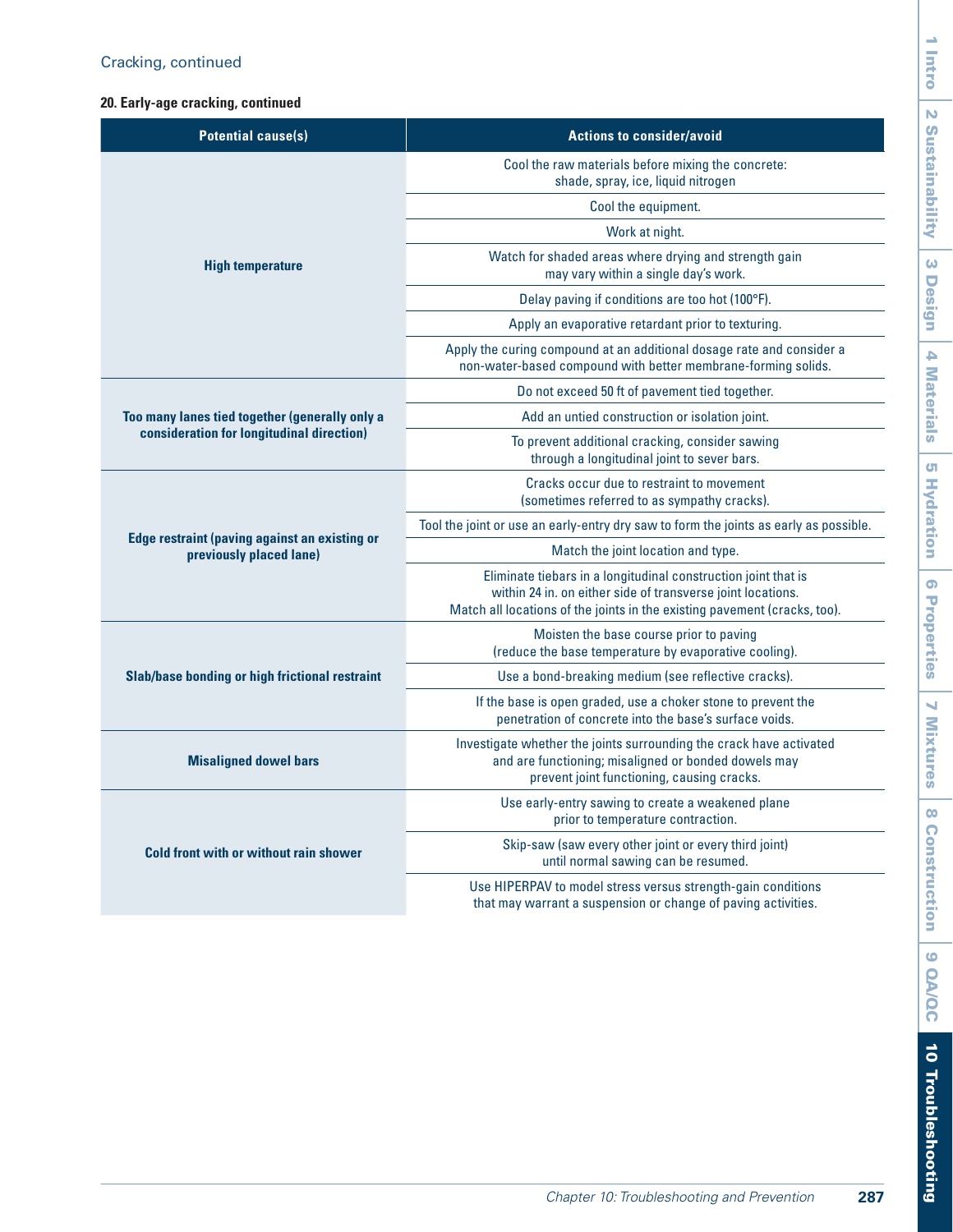# Cracking, continued

## **20. Early-age cracking, continued**

| <b>Potential cause(s)</b>                            | <b>Actions to consider/avoid</b>                                                                                                                                                                           |
|------------------------------------------------------|------------------------------------------------------------------------------------------------------------------------------------------------------------------------------------------------------------|
|                                                      | Cool the raw materials before mixing the concrete:<br>shade, spray, ice, liquid nitrogen                                                                                                                   |
|                                                      | Cool the equipment.                                                                                                                                                                                        |
|                                                      | Work at night.                                                                                                                                                                                             |
| <b>High temperature</b>                              | Watch for shaded areas where drying and strength gain<br>may vary within a single day's work.                                                                                                              |
|                                                      | Delay paving if conditions are too hot (100°F).                                                                                                                                                            |
|                                                      | Apply an evaporative retardant prior to texturing.                                                                                                                                                         |
|                                                      | Apply the curing compound at an additional dosage rate and consider a<br>non-water-based compound with better membrane-forming solids.                                                                     |
|                                                      | Do not exceed 50 ft of pavement tied together.                                                                                                                                                             |
| Too many lanes tied together (generally only a       | Add an untied construction or isolation joint.                                                                                                                                                             |
| consideration for longitudinal direction)            | To prevent additional cracking, consider sawing<br>through a longitudinal joint to sever bars.                                                                                                             |
|                                                      | Cracks occur due to restraint to movement<br>(sometimes referred to as sympathy cracks).                                                                                                                   |
| <b>Edge restraint (paving against an existing or</b> | Tool the joint or use an early-entry dry saw to form the joints as early as possible.                                                                                                                      |
| previously placed lane)                              | Match the joint location and type.                                                                                                                                                                         |
|                                                      | Eliminate tiebars in a longitudinal construction joint that is<br>within 24 in. on either side of transverse joint locations.<br>Match all locations of the joints in the existing pavement (cracks, too). |
|                                                      | Moisten the base course prior to paving<br>(reduce the base temperature by evaporative cooling).                                                                                                           |
| Slab/base bonding or high frictional restraint       | Use a bond-breaking medium (see reflective cracks).                                                                                                                                                        |
|                                                      | If the base is open graded, use a choker stone to prevent the<br>penetration of concrete into the base's surface voids.                                                                                    |
| <b>Misaligned dowel bars</b>                         | Investigate whether the joints surrounding the crack have activated<br>and are functioning; misaligned or bonded dowels may<br>prevent joint functioning, causing cracks.                                  |
| Cold front with or without rain shower               | Use early-entry sawing to create a weakened plane<br>prior to temperature contraction.                                                                                                                     |
|                                                      | Skip-saw (saw every other joint or every third joint)<br>until normal sawing can be resumed.                                                                                                               |
|                                                      | Use HIPERPAV to model stress versus strength-gain conditions<br>that may warrant a suspension or change of paving activities.                                                                              |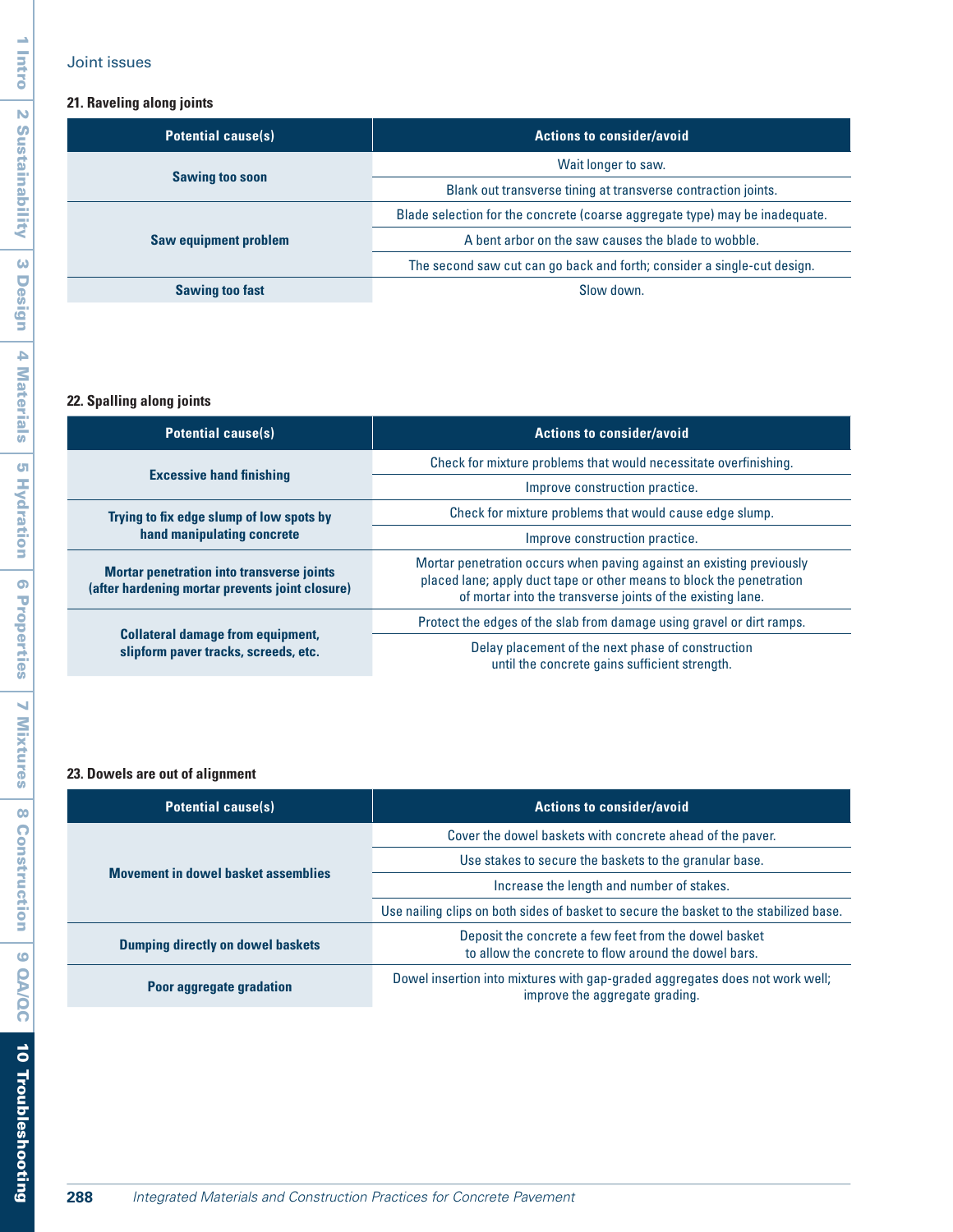## Joint issues

I

# **21. Raveling along joints**

| <b>Potential cause(s)</b>    | <b>Actions to consider/avoid</b>                                            |
|------------------------------|-----------------------------------------------------------------------------|
| <b>Sawing too soon</b>       | Wait longer to saw.                                                         |
|                              | Blank out transverse tining at transverse contraction joints.               |
| <b>Saw equipment problem</b> | Blade selection for the concrete (coarse aggregate type) may be inadequate. |
|                              | A bent arbor on the saw causes the blade to wobble.                         |
|                              | The second saw cut can go back and forth; consider a single-cut design.     |
| <b>Sawing too fast</b>       | Slow down.                                                                  |

## **22. Spalling along joints**

| <b>Potential cause(s)</b>                                                                           | <b>Actions to consider/avoid</b>                                                                                                                                                                           |
|-----------------------------------------------------------------------------------------------------|------------------------------------------------------------------------------------------------------------------------------------------------------------------------------------------------------------|
| <b>Excessive hand finishing</b>                                                                     | Check for mixture problems that would necessitate overfinishing.                                                                                                                                           |
|                                                                                                     | Improve construction practice.                                                                                                                                                                             |
| Trying to fix edge slump of low spots by<br>hand manipulating concrete                              | Check for mixture problems that would cause edge slump.                                                                                                                                                    |
|                                                                                                     | Improve construction practice.                                                                                                                                                                             |
| <b>Mortar penetration into transverse joints</b><br>(after hardening mortar prevents joint closure) | Mortar penetration occurs when paving against an existing previously<br>placed lane; apply duct tape or other means to block the penetration<br>of mortar into the transverse joints of the existing lane. |
| <b>Collateral damage from equipment,</b><br>slipform paver tracks, screeds, etc.                    | Protect the edges of the slab from damage using gravel or dirt ramps.                                                                                                                                      |
|                                                                                                     | Delay placement of the next phase of construction<br>until the concrete gains sufficient strength.                                                                                                         |

## **23. Dowels are out of alignment**

| <b>Potential cause(s)</b>                  | <b>Actions to consider/avoid</b>                                                                               |
|--------------------------------------------|----------------------------------------------------------------------------------------------------------------|
| <b>Movement in dowel basket assemblies</b> | Cover the dowel baskets with concrete ahead of the paver.                                                      |
|                                            | Use stakes to secure the baskets to the granular base.                                                         |
|                                            | Increase the length and number of stakes.                                                                      |
|                                            | Use nailing clips on both sides of basket to secure the basket to the stabilized base.                         |
| <b>Dumping directly on dowel baskets</b>   | Deposit the concrete a few feet from the dowel basket<br>to allow the concrete to flow around the dowel bars.  |
| Poor aggregate gradation                   | Dowel insertion into mixtures with gap-graded aggregates does not work well;<br>improve the aggregate grading. |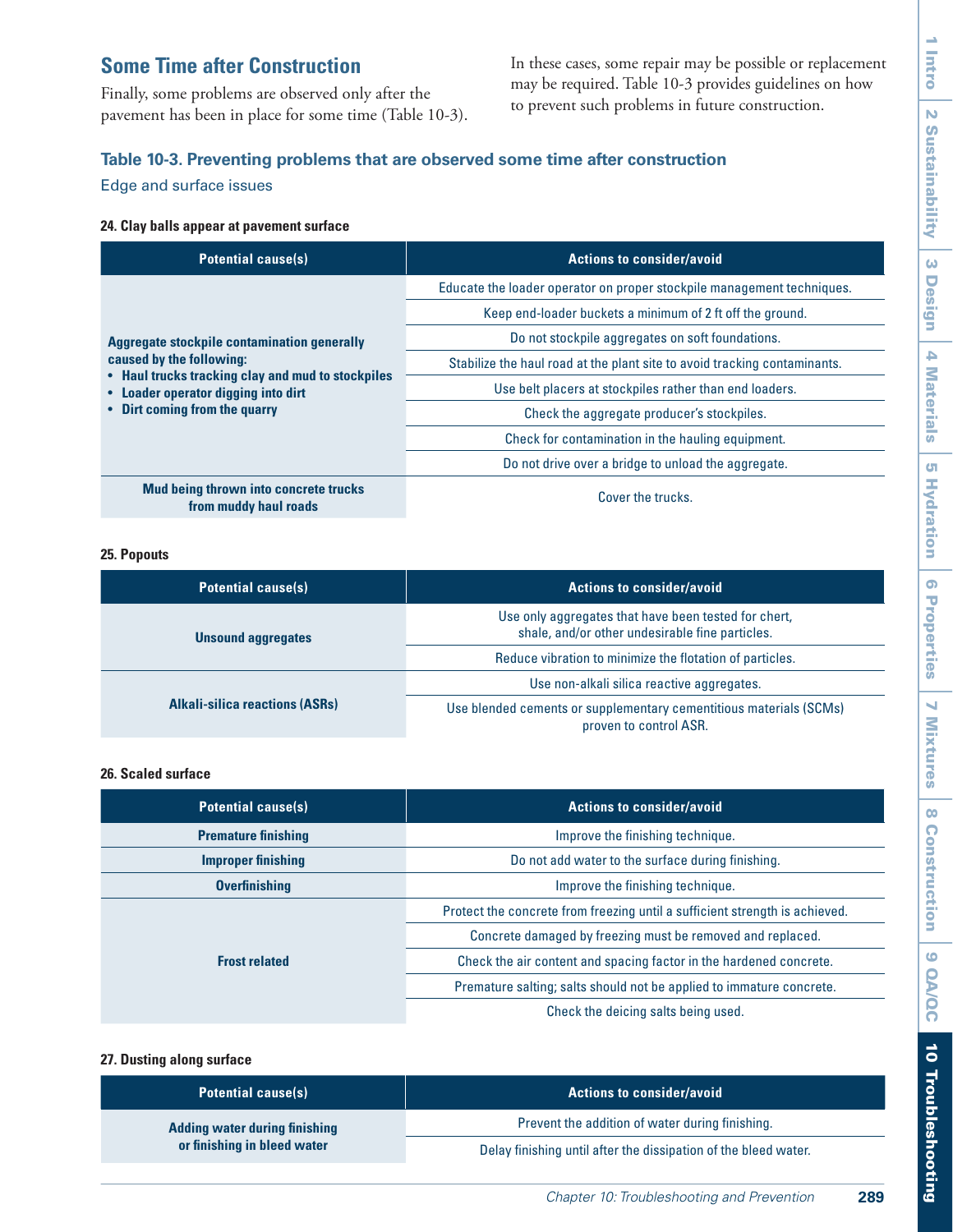# **Some Time after Construction**

Finally, some problems are observed only after the pavement has been in place for some time (Table 10-3). In these cases, some repair may be possible or replacement may be required. Table 10-3 provides guidelines on how to prevent such problems in future construction.

# **Table 10-3. Preventing problems that are observed some time after construction**

Edge and surface issues

#### **24. Clay balls appear at pavement surface**

| <b>Potential cause(s)</b>                                                                                                                                                                                   | <b>Actions to consider/avoid</b>                                          |
|-------------------------------------------------------------------------------------------------------------------------------------------------------------------------------------------------------------|---------------------------------------------------------------------------|
| <b>Aggregate stockpile contamination generally</b><br>caused by the following:<br>• Haul trucks tracking clay and mud to stockpiles<br>• Loader operator digging into dirt<br>• Dirt coming from the quarry | Educate the loader operator on proper stockpile management techniques.    |
|                                                                                                                                                                                                             | Keep end-loader buckets a minimum of 2 ft off the ground.                 |
|                                                                                                                                                                                                             | Do not stockpile aggregates on soft foundations.                          |
|                                                                                                                                                                                                             | Stabilize the haul road at the plant site to avoid tracking contaminants. |
|                                                                                                                                                                                                             | Use belt placers at stockpiles rather than end loaders.                   |
|                                                                                                                                                                                                             | Check the aggregate producer's stockpiles.                                |
|                                                                                                                                                                                                             | Check for contamination in the hauling equipment.                         |
|                                                                                                                                                                                                             | Do not drive over a bridge to unload the aggregate.                       |
| <b>Mud being thrown into concrete trucks</b><br>from muddy haul roads                                                                                                                                       | Cover the trucks.                                                         |

#### **25. Popouts**

| <b>Potential cause(s)</b>             | <b>Actions to consider/avoid</b>                                                                        |
|---------------------------------------|---------------------------------------------------------------------------------------------------------|
| <b>Unsound aggregates</b>             | Use only aggregates that have been tested for chert,<br>shale, and/or other undesirable fine particles. |
|                                       | Reduce vibration to minimize the flotation of particles.                                                |
| <b>Alkali-silica reactions (ASRs)</b> | Use non-alkali silica reactive aggregates.                                                              |
|                                       | Use blended cements or supplementary cementitious materials (SCMs)<br>proven to control ASR.            |

#### **26. Scaled surface**

| <b>Potential cause(s)</b>  | <b>Actions to consider/avoid</b>                                            |
|----------------------------|-----------------------------------------------------------------------------|
| <b>Premature finishing</b> | Improve the finishing technique.                                            |
| <b>Improper finishing</b>  | Do not add water to the surface during finishing.                           |
| <b>Overfinishing</b>       | Improve the finishing technique.                                            |
|                            | Protect the concrete from freezing until a sufficient strength is achieved. |
|                            | Concrete damaged by freezing must be removed and replaced.                  |
| <b>Frost related</b>       | Check the air content and spacing factor in the hardened concrete.          |
|                            | Premature salting; salts should not be applied to immature concrete.        |
|                            | Check the deicing salts being used.                                         |

#### **27. Dusting along surface**

| <b>Potential cause(s)</b>                                           | <b>Actions to consider/avoid</b>                                |
|---------------------------------------------------------------------|-----------------------------------------------------------------|
| <b>Adding water during finishing</b><br>or finishing in bleed water | Prevent the addition of water during finishing.                 |
|                                                                     | Delay finishing until after the dissipation of the bleed water. |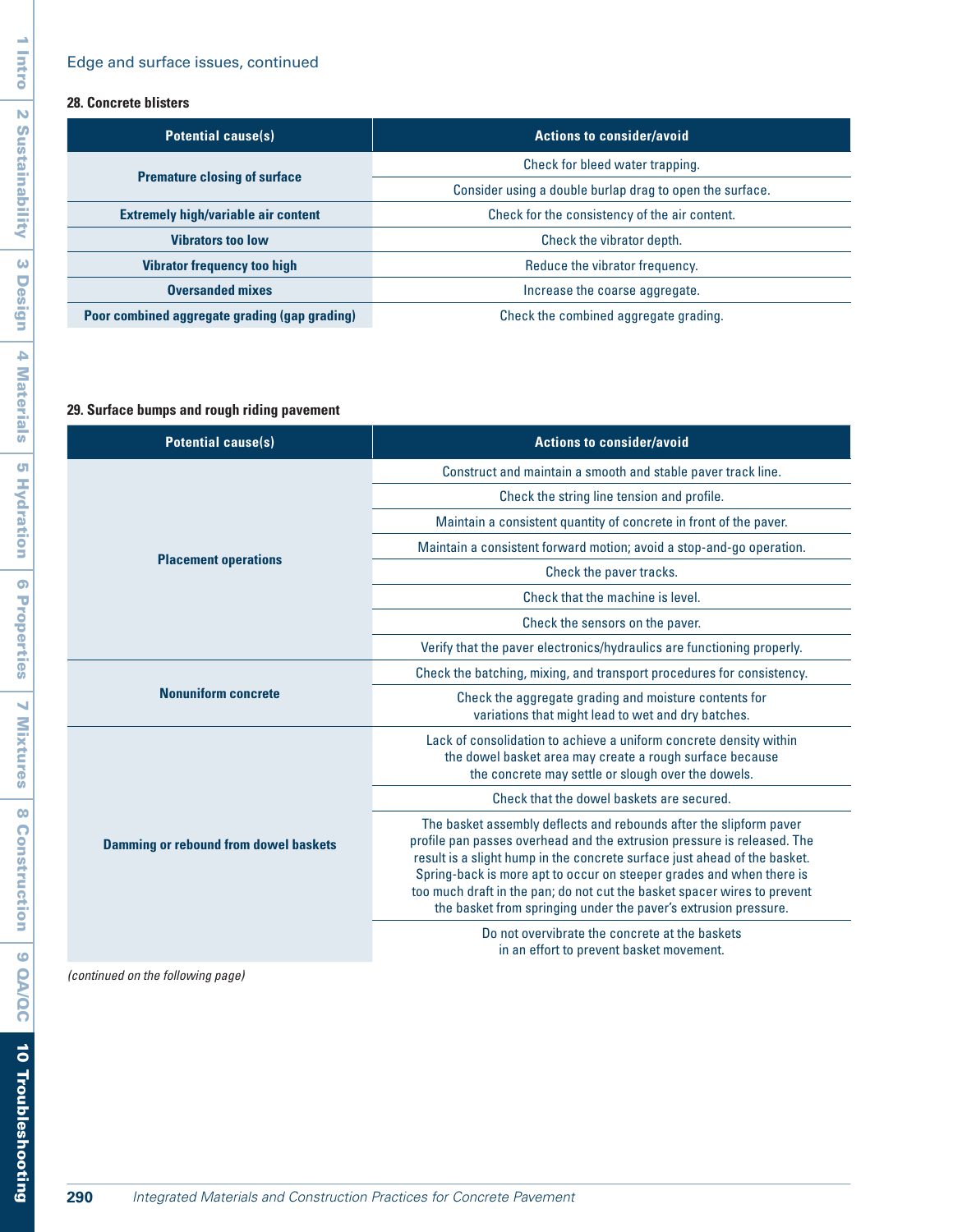## **28. Concrete blisters**

| <b>Potential cause(s)</b>                     | <b>Actions to consider/avoid</b>                         |
|-----------------------------------------------|----------------------------------------------------------|
| <b>Premature closing of surface</b>           | Check for bleed water trapping.                          |
|                                               | Consider using a double burlap drag to open the surface. |
| <b>Extremely high/variable air content</b>    | Check for the consistency of the air content.            |
| <b>Vibrators too low</b>                      | Check the vibrator depth.                                |
| <b>Vibrator frequency too high</b>            | Reduce the vibrator frequency.                           |
| <b>Oversanded mixes</b>                       | Increase the coarse aggregate.                           |
| Poor combined aggregate grading (gap grading) | Check the combined aggregate grading.                    |

## **29. Surface bumps and rough riding pavement**

| <b>Potential cause(s)</b>                    | <b>Actions to consider/avoid</b>                                                                                                                                                                                                                                                                                                                                                                                                                  |
|----------------------------------------------|---------------------------------------------------------------------------------------------------------------------------------------------------------------------------------------------------------------------------------------------------------------------------------------------------------------------------------------------------------------------------------------------------------------------------------------------------|
|                                              | Construct and maintain a smooth and stable paver track line.                                                                                                                                                                                                                                                                                                                                                                                      |
|                                              | Check the string line tension and profile.                                                                                                                                                                                                                                                                                                                                                                                                        |
|                                              | Maintain a consistent quantity of concrete in front of the paver.                                                                                                                                                                                                                                                                                                                                                                                 |
|                                              | Maintain a consistent forward motion; avoid a stop-and-go operation.                                                                                                                                                                                                                                                                                                                                                                              |
| <b>Placement operations</b>                  | Check the paver tracks.                                                                                                                                                                                                                                                                                                                                                                                                                           |
|                                              | Check that the machine is level.                                                                                                                                                                                                                                                                                                                                                                                                                  |
|                                              | Check the sensors on the paver.                                                                                                                                                                                                                                                                                                                                                                                                                   |
|                                              | Verify that the paver electronics/hydraulics are functioning properly.                                                                                                                                                                                                                                                                                                                                                                            |
| <b>Nonuniform concrete</b>                   | Check the batching, mixing, and transport procedures for consistency.                                                                                                                                                                                                                                                                                                                                                                             |
|                                              | Check the aggregate grading and moisture contents for<br>variations that might lead to wet and dry batches.                                                                                                                                                                                                                                                                                                                                       |
| <b>Damming or rebound from dowel baskets</b> | Lack of consolidation to achieve a uniform concrete density within<br>the dowel basket area may create a rough surface because<br>the concrete may settle or slough over the dowels.                                                                                                                                                                                                                                                              |
|                                              | Check that the dowel baskets are secured.                                                                                                                                                                                                                                                                                                                                                                                                         |
|                                              | The basket assembly deflects and rebounds after the slipform paver<br>profile pan passes overhead and the extrusion pressure is released. The<br>result is a slight hump in the concrete surface just ahead of the basket.<br>Spring-back is more apt to occur on steeper grades and when there is<br>too much draft in the pan; do not cut the basket spacer wires to prevent<br>the basket from springing under the paver's extrusion pressure. |
|                                              | Do not overvibrate the concrete at the baskets                                                                                                                                                                                                                                                                                                                                                                                                    |

in an effort to prevent basket movement.

*(continued on the following page)*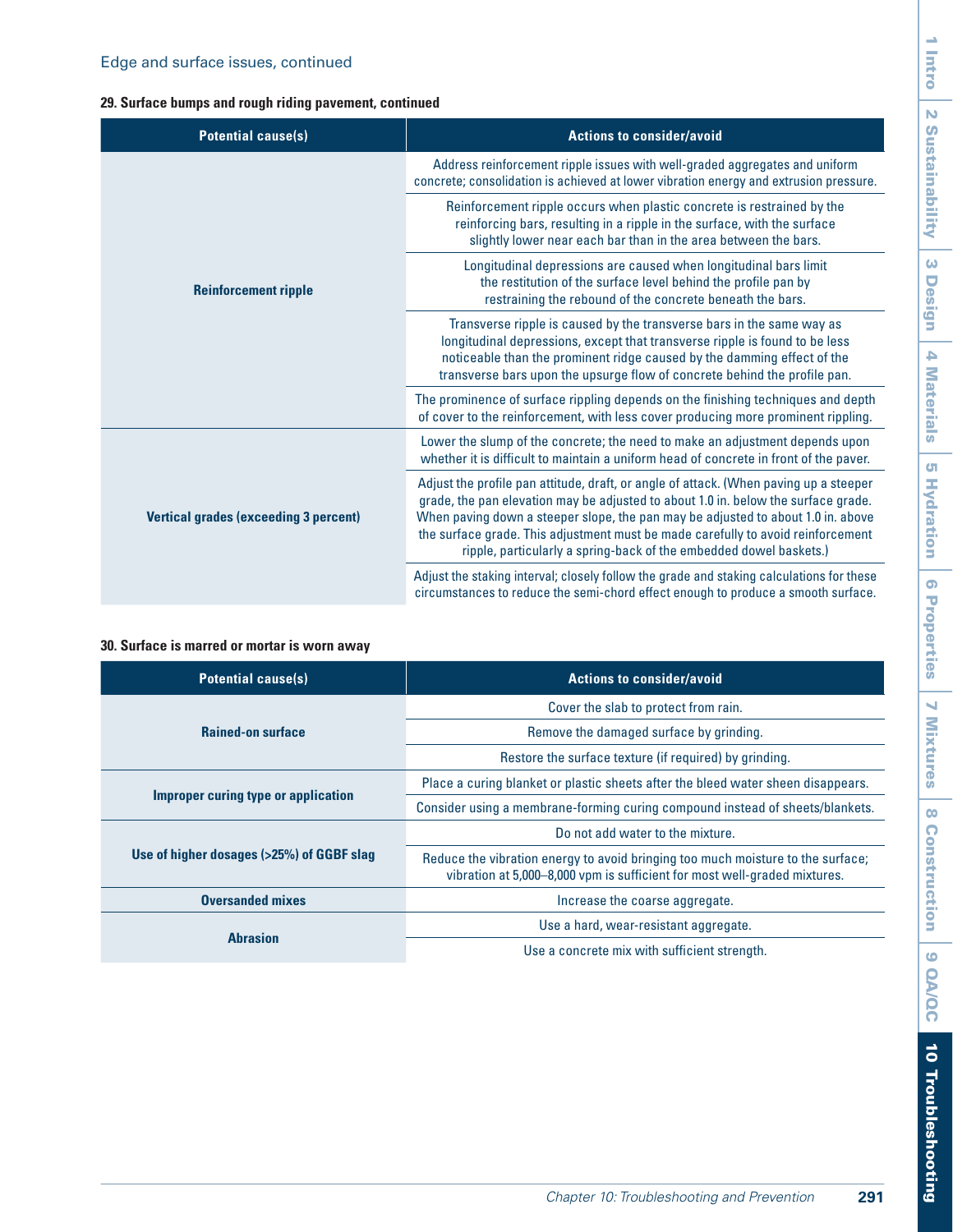## **29. Surface bumps and rough riding pavement, continued**

| <b>Potential cause(s)</b>                    | <b>Actions to consider/avoid</b>                                                                                                                                                                                                                                                                                                                                                                                          |
|----------------------------------------------|---------------------------------------------------------------------------------------------------------------------------------------------------------------------------------------------------------------------------------------------------------------------------------------------------------------------------------------------------------------------------------------------------------------------------|
| <b>Reinforcement ripple</b>                  | Address reinforcement ripple issues with well-graded aggregates and uniform<br>concrete; consolidation is achieved at lower vibration energy and extrusion pressure.                                                                                                                                                                                                                                                      |
|                                              | Reinforcement ripple occurs when plastic concrete is restrained by the<br>reinforcing bars, resulting in a ripple in the surface, with the surface<br>slightly lower near each bar than in the area between the bars.                                                                                                                                                                                                     |
|                                              | Longitudinal depressions are caused when longitudinal bars limit<br>the restitution of the surface level behind the profile pan by<br>restraining the rebound of the concrete beneath the bars.                                                                                                                                                                                                                           |
|                                              | Transverse ripple is caused by the transverse bars in the same way as<br>longitudinal depressions, except that transverse ripple is found to be less<br>noticeable than the prominent ridge caused by the damming effect of the<br>transverse bars upon the upsurge flow of concrete behind the profile pan.                                                                                                              |
|                                              | The prominence of surface rippling depends on the finishing techniques and depth<br>of cover to the reinforcement, with less cover producing more prominent rippling.                                                                                                                                                                                                                                                     |
| <b>Vertical grades (exceeding 3 percent)</b> | Lower the slump of the concrete; the need to make an adjustment depends upon<br>whether it is difficult to maintain a uniform head of concrete in front of the paver.                                                                                                                                                                                                                                                     |
|                                              | Adjust the profile pan attitude, draft, or angle of attack. (When paving up a steeper<br>grade, the pan elevation may be adjusted to about 1.0 in. below the surface grade.<br>When paving down a steeper slope, the pan may be adjusted to about 1.0 in. above<br>the surface grade. This adjustment must be made carefully to avoid reinforcement<br>ripple, particularly a spring-back of the embedded dowel baskets.) |
|                                              | Adjust the staking interval; closely follow the grade and staking calculations for these<br>circumstances to reduce the semi-chord effect enough to produce a smooth surface.                                                                                                                                                                                                                                             |

#### **30. Surface is marred or mortar is worn away**

| <b>Potential cause(s)</b>                 | <b>Actions to consider/avoid</b>                                                                                                                             |
|-------------------------------------------|--------------------------------------------------------------------------------------------------------------------------------------------------------------|
| <b>Rained-on surface</b>                  | Cover the slab to protect from rain.                                                                                                                         |
|                                           | Remove the damaged surface by grinding.                                                                                                                      |
|                                           | Restore the surface texture (if required) by grinding.                                                                                                       |
| Improper curing type or application       | Place a curing blanket or plastic sheets after the bleed water sheen disappears.                                                                             |
|                                           | Consider using a membrane-forming curing compound instead of sheets/blankets.                                                                                |
| Use of higher dosages (>25%) of GGBF slag | Do not add water to the mixture.                                                                                                                             |
|                                           | Reduce the vibration energy to avoid bringing too much moisture to the surface;<br>vibration at 5,000–8,000 vpm is sufficient for most well-graded mixtures. |
| <b>Oversanded mixes</b>                   | Increase the coarse aggregate.                                                                                                                               |
| <b>Abrasion</b>                           | Use a hard, wear-resistant aggregate.                                                                                                                        |
|                                           | Use a concrete mix with sufficient strength.                                                                                                                 |

# 1 Intro  $\mathbf{N}$ 2 Sustainability Sustainability 3 Design 4 Materials 4 Materials 5 Hydration 5 Hydration 6 Properties 6 Properties Ñ 7 Mixtures Mixtures  $\infty$ 8 Construction **Construction**  $\bullet$ 9 QA/QC OA/OC 10 Troubleshooting 10 Troubleshooting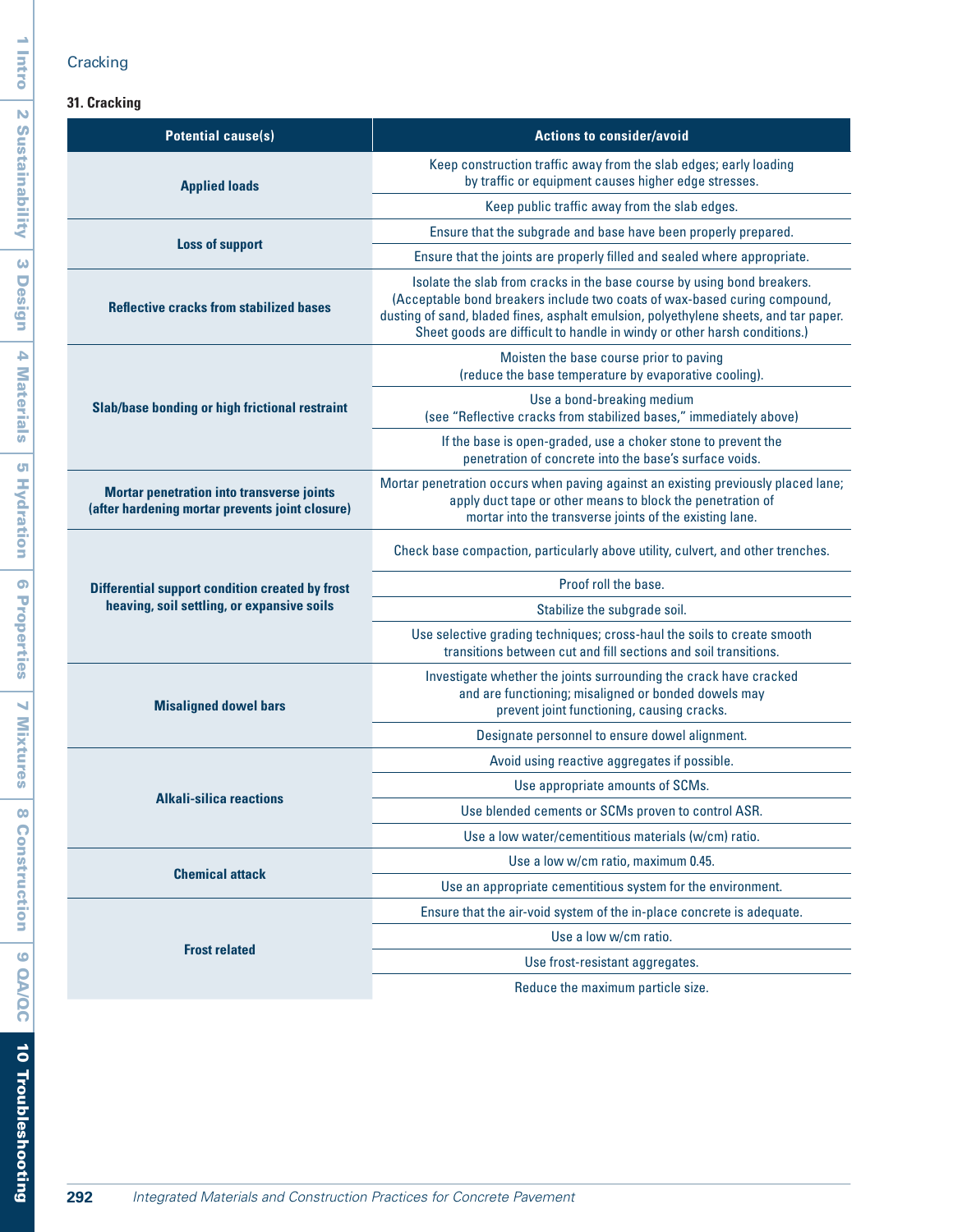# **Cracking**

## **31. Cracking**

| <b>Potential cause(s)</b>                                                                           | <b>Actions to consider/avoid</b>                                                                                                                                                                                                                                                                                         |  |
|-----------------------------------------------------------------------------------------------------|--------------------------------------------------------------------------------------------------------------------------------------------------------------------------------------------------------------------------------------------------------------------------------------------------------------------------|--|
| <b>Applied loads</b>                                                                                | Keep construction traffic away from the slab edges; early loading<br>by traffic or equipment causes higher edge stresses.                                                                                                                                                                                                |  |
|                                                                                                     | Keep public traffic away from the slab edges.                                                                                                                                                                                                                                                                            |  |
| <b>Loss of support</b>                                                                              | Ensure that the subgrade and base have been properly prepared.                                                                                                                                                                                                                                                           |  |
|                                                                                                     | Ensure that the joints are properly filled and sealed where appropriate.                                                                                                                                                                                                                                                 |  |
| <b>Reflective cracks from stabilized bases</b>                                                      | Isolate the slab from cracks in the base course by using bond breakers.<br>(Acceptable bond breakers include two coats of wax-based curing compound,<br>dusting of sand, bladed fines, asphalt emulsion, polyethylene sheets, and tar paper.<br>Sheet goods are difficult to handle in windy or other harsh conditions.) |  |
|                                                                                                     | Moisten the base course prior to paving<br>(reduce the base temperature by evaporative cooling).                                                                                                                                                                                                                         |  |
| <b>Slab/base bonding or high frictional restraint</b>                                               | Use a bond-breaking medium<br>(see "Reflective cracks from stabilized bases," immediately above)                                                                                                                                                                                                                         |  |
|                                                                                                     | If the base is open-graded, use a choker stone to prevent the<br>penetration of concrete into the base's surface voids.                                                                                                                                                                                                  |  |
| <b>Mortar penetration into transverse joints</b><br>(after hardening mortar prevents joint closure) | Mortar penetration occurs when paving against an existing previously placed lane;<br>apply duct tape or other means to block the penetration of<br>mortar into the transverse joints of the existing lane.                                                                                                               |  |
| <b>Differential support condition created by frost</b>                                              | Check base compaction, particularly above utility, culvert, and other trenches.                                                                                                                                                                                                                                          |  |
|                                                                                                     | Proof roll the base.                                                                                                                                                                                                                                                                                                     |  |
| heaving, soil settling, or expansive soils                                                          | Stabilize the subgrade soil.                                                                                                                                                                                                                                                                                             |  |
|                                                                                                     | Use selective grading techniques; cross-haul the soils to create smooth<br>transitions between cut and fill sections and soil transitions.                                                                                                                                                                               |  |
| <b>Misaligned dowel bars</b>                                                                        | Investigate whether the joints surrounding the crack have cracked<br>and are functioning; misaligned or bonded dowels may<br>prevent joint functioning, causing cracks.                                                                                                                                                  |  |
|                                                                                                     | Designate personnel to ensure dowel alignment.                                                                                                                                                                                                                                                                           |  |
|                                                                                                     | Avoid using reactive aggregates if possible.                                                                                                                                                                                                                                                                             |  |
| <b>Alkali-silica reactions</b>                                                                      | Use appropriate amounts of SCMs.                                                                                                                                                                                                                                                                                         |  |
|                                                                                                     | Use blended cements or SCMs proven to control ASR.                                                                                                                                                                                                                                                                       |  |
|                                                                                                     | Use a low water/cementitious materials (w/cm) ratio.                                                                                                                                                                                                                                                                     |  |
| <b>Chemical attack</b>                                                                              | Use a low w/cm ratio, maximum 0.45.                                                                                                                                                                                                                                                                                      |  |
|                                                                                                     | Use an appropriate cementitious system for the environment.                                                                                                                                                                                                                                                              |  |
| <b>Frost related</b>                                                                                | Ensure that the air-void system of the in-place concrete is adequate.                                                                                                                                                                                                                                                    |  |
|                                                                                                     | Use a low w/cm ratio.                                                                                                                                                                                                                                                                                                    |  |
|                                                                                                     | Use frost-resistant aggregates.                                                                                                                                                                                                                                                                                          |  |
|                                                                                                     | Reduce the maximum particle size.                                                                                                                                                                                                                                                                                        |  |